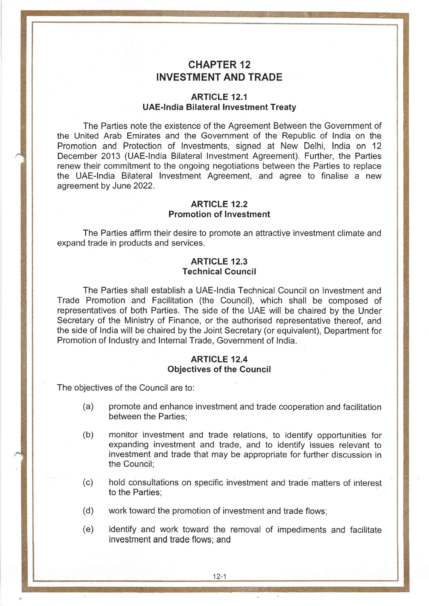# CHAPTER 12 INVESTMENT AND TRADE

#### ARTICLE 12.1 UAE-India Bilateral lnvestment Treaty

The Parties note the existence of the Agreement Between the Government of the United Arab Emirates and the Government of the Republic of lndia on the Promotion and Protection of lnvestments, signed at New Delhi, lndia on <sup>12</sup> December 2013 (UAE-lndia Bilateral Investment Agreement). Further, the Parties renew their commitment to the ongoing negotiations between the Parties to replace the UAE-lndia Bilateral lnvestment Agreement, and agree to finalise a new agreement by June 2022.

#### ARTICLE 12.2 Promotion of lnvestment

The Parties affirm their desire to promote an attractive investment climate and expand trade in products and services.

#### ARTICLE 12.3 Technical Counci!

The Parties shall establish a UAE-lndia Technical Council on lnvestment and Trade Promotion and Facilitation (the Council), which shall be composed of representatives of both Parties. The side of the UAE will be chaired by the Under Secretary of the Ministry of Finance, or the authorised representative thereof, and the side of lndia will be chaired by the Joint Secretary (or equivalent), Department for Promotion of lndustry and lnternal Trade, Government of lndia.

## ARTICLE 12.4 Objectives of the Council

The objectives of the Council are to:

- (a) promote and enhance investment and trade cooperation and facilitation between the Parties;
- (b) monitor investment and trade relations, to identify opportunities for expanding investment and trade, and to identify issues relevant to investment and trade that may be appropriate for further discussion in the Council;
- (c) hold consultations on specific investment and trade matters of interest to the Parties;
- (d) work toward the promotion of investment and trade flows;
- (e) identify and work toward the removat of impediments and facilitate investment and trade flows; and